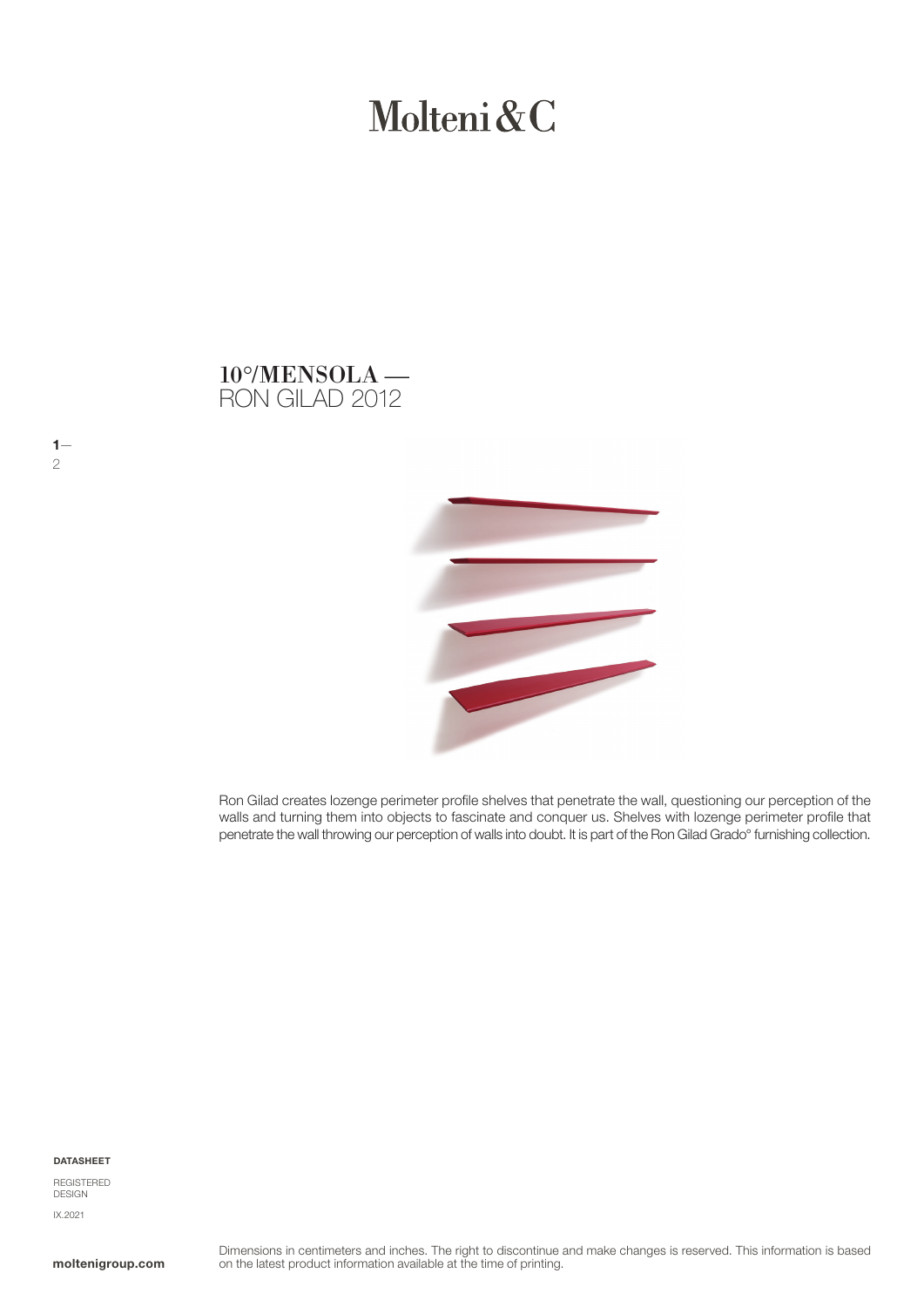# Molteni&C





Ron Gilad creates lozenge perimeter profile shelves that penetrate the wall, questioning our perception of the walls and turning them into objects to fascinate and conquer us. Shelves with lozenge perimeter profile that penetrate the wall throwing our perception of walls into doubt. It is part of the Ron Gilad Grado° furnishing collection.

#### DATASHEET

 $1-$ 

2

REGISTERED **DESIGN** IX.2021